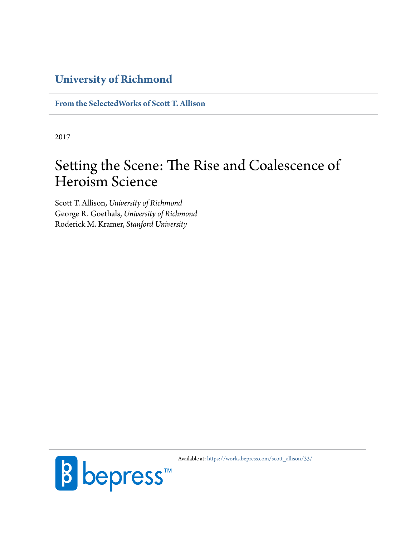# **[University of Richmond](http://www.richmond.edu)**

**[From the SelectedWorks of Scott T. Allison](https://works.bepress.com/scott_allison/)**

2017

# Setting the Scene: The Rise and Coalescence of Heroism Science

Scott T. Allison, *University of Richmond* George R. Goethals, *University of Richmond* Roderick M. Kramer, *Stanford University*



Available at: [https://works.bepress.com/scott\\_allison/33/](https://works.bepress.com/scott_allison/33/)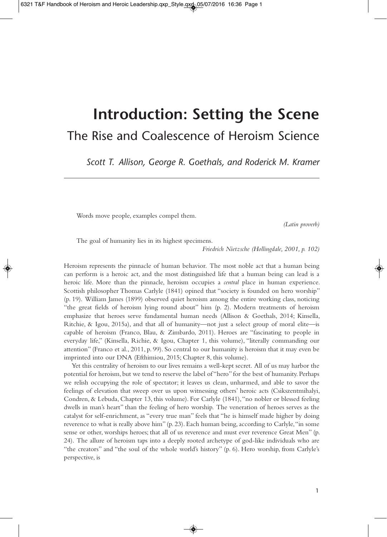# **Introduction: Setting the Scene** The Rise and Coalescence of Heroism Science

*Scott T. Allison, George R. Goethals, and Roderick M. Kramer*

Words move people, examples compel them.

*(Latin proverb)*

The goal of humanity lies in its highest specimens.

*Friedrich Nietzsche (Hollingdale, 2001, p. 102)*

Heroism represents the pinnacle of human behavior. The most noble act that a human being can perform is a heroic act, and the most distinguished life that a human being can lead is a heroic life. More than the pinnacle, heroism occupies a *central* place in human experience. Scottish philosopher Thomas Carlyle (1841) opined that "society is founded on hero worship" (p. 19). William James (1899) observed quiet heroism among the entire working class, noticing "the great fields of heroism lying round about" him (p. 2). Modern treatments of heroism emphasize that heroes serve fundamental human needs (Allison & Goethals, 2014; Kinsella, Ritchie, & Igou, 2015a), and that all of humanity—not just a select group of moral elite—is capable of heroism (Franco, Blau, & Zimbardo, 2011). Heroes are "fascinating to people in everyday life," (Kinsella, Richie, & Igou, Chapter 1, this volume), "literally commanding our attention" (Franco et al., 2011, p. 99). So central to our humanity is heroism that it may even be imprinted into our DNA (Efthimiou, 2015; Chapter 8, this volume).

Yet this centrality of heroism to our lives remains a well-kept secret. All of us may harbor the potential for heroism, but we tend to reserve the label of "hero" for the best of humanity. Perhaps we relish occupying the role of spectator; it leaves us clean, unharmed, and able to savor the feelings of elevation that sweep over us upon witnessing others' heroic acts (Csikszentmihalyi, Condren, & Lebuda, Chapter 13, this volume). For Carlyle (1841),"no nobler or blessed feeling dwells in man's heart" than the feeling of hero worship. The veneration of heroes serves as the catalyst for self-enrichment, as "every true man" feels that "he is himself made higher by doing reverence to what is really above him" (p. 23). Each human being, according to Carlyle, "in some sense or other, worships heroes; that all of us reverence and must ever reverence Great Men" (p. 24). The allure of heroism taps into a deeply rooted archetype of god-like individuals who are "the creators" and "the soul of the whole world's history" (p. 6). Hero worship, from Carlyle's perspective, is

1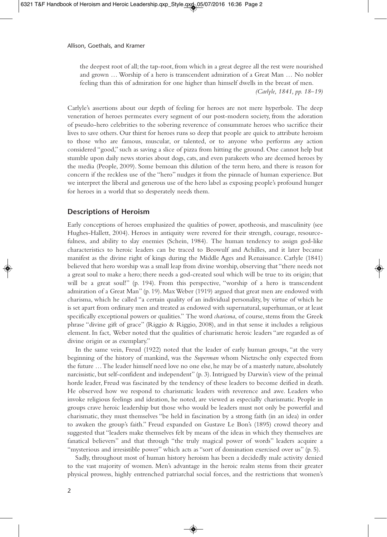the deepest root of all; the tap-root, from which in a great degree all the rest were nourished and grown … Worship of a hero is transcendent admiration of a Great Man … No nobler feeling than this of admiration for one higher than himself dwells in the breast of men. *(Carlyle, 1841, pp. 18–19)*

Carlyle's assertions about our depth of feeling for heroes are not mere hyperbole. The deep veneration of heroes permeates every segment of our post-modern society, from the adoration of pseudo-hero celebrities to the sobering reverence of consummate heroes who sacrifice their lives to save others. Our thirst for heroes runs so deep that people are quick to attribute heroism to those who are famous, muscular, or talented, or to anyone who performs *any* action considered "good," such as saving a slice of pizza from hitting the ground. One cannot help but stumble upon daily news stories about dogs, cats, and even parakeets who are deemed heroes by the media (People, 2009). Some bemoan this dilution of the term hero, and there is reason for concern if the reckless use of the "hero" nudges it from the pinnacle of human experience. But we interpret the liberal and generous use of the hero label as exposing people's profound hunger for heroes in a world that so desperately needs them.

# **Descriptions of Heroism**

Early conceptions of heroes emphasized the qualities of power, apotheosis, and masculinity (see Hughes-Hallett, 2004). Heroes in antiquity were revered for their strength, courage, resourcefulness, and ability to slay enemies (Schein, 1984). The human tendency to assign god-like characteristics to heroic leaders can be traced to Beowulf and Achilles, and it later became manifest as the divine right of kings during the Middle Ages and Renaissance. Carlyle (1841) believed that hero worship was a small leap from divine worship, observing that "there needs not a great soul to make a hero; there needs a god-created soul which will be true to its origin; that will be a great soul!" (p. 194). From this perspective, "worship of a hero is transcendent admiration of a Great Man" (p. 19). MaxWeber (1919) argued that great men are endowed with charisma, which he called "a certain quality of an individual personality, by virtue of which he is set apart from ordinary men and treated as endowed with supernatural, superhuman, or at least specifically exceptional powers or qualities." The word *charisma*, of course, stems from the Greek phrase "divine gift of grace" (Riggio & Riggio, 2008), and in that sense it includes a religious element. In fact, Weber noted that the qualities of charismatic heroic leaders "are regarded as of divine origin or as exemplary."

In the same vein, Freud (1922) noted that the leader of early human groups, "at the very beginning of the history of mankind, was the *Superman* whom Nietzsche only expected from the future ... The leader himself need love no one else, he may be of a masterly nature, absolutely narcissistic, but self-confident and independent" (p. 3). Intrigued by Darwin's view of the primal horde leader, Freud was fascinated by the tendency of these leaders to become deified in death. He observed how we respond to charismatic leaders with reverence and awe. Leaders who invoke religious feelings and ideation, he noted, are viewed as especially charismatic. People in groups crave heroic leadership but those who would be leaders must not only be powerful and charismatic, they must themselves "be held in fascination by a strong faith (in an idea) in order to awaken the group's faith." Freud expanded on Gustave Le Bon's (1895) crowd theory and suggested that "leaders make themselves felt by means of the ideas in which they themselves are fanatical believers" and that through "the truly magical power of words" leaders acquire a "mysterious and irresistible power" which acts as "sort of domination exercised over us" (p. 5).

Sadly, throughout most of human history heroism has been a decidedly male activity denied to the vast majority of women. Men's advantage in the heroic realm stems from their greater physical prowess, highly entrenched patriarchal social forces, and the restrictions that women's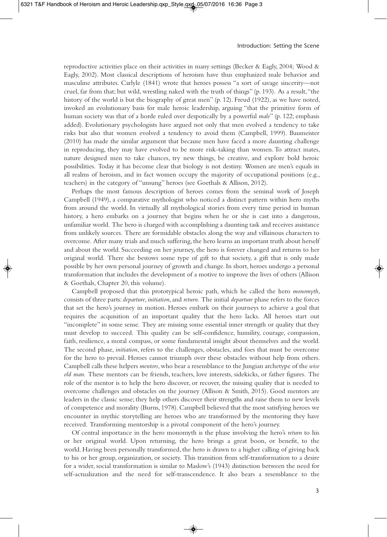reproductive activities place on their activities in many settings (Becker & Eagly, 2004; Wood & Eagly, 2002). Most classical descriptions of heroism have thus emphasized male behavior and masculine attributes. Carlyle (1841) wrote that heroes possess "a sort of savage sincerity—not cruel, far from that; but wild, wrestling naked with the truth of things" (p. 193). As a result,"the history of the world is but the biography of great men" (p. 12). Freud (1922), as we have noted, invoked an evolutionary basis for male heroic leadership, arguing "that the primitive form of human society was that of a horde ruled over despotically by a powerful *male*" (p. 122; emphasis added). Evolutionary psychologists have argued not only that men evolved a tendency to take risks but also that women evolved a tendency to avoid them (Campbell, 1999). Baumeister (2010) has made the similar argument that because men have faced a more daunting challenge in reproducing, they may have evolved to be more risk-taking than women.To attract mates, nature designed men to take chances, try new things, be creative, and explore bold heroic possibilities. Today it has become clear that biology is not destiny. Women are men's equals in all realms of heroism, and in fact women occupy the majority of occupational positions (e.g., teachers) in the category of "unsung" heroes (see Goethals & Allison, 2012).

Perhaps the most famous description of heroes comes from the seminal work of Joseph Campbell (1949), a comparative mythologist who noticed a distinct pattern within hero myths from around the world. In virtually all mythological stories from every time period in human history, a hero embarks on a journey that begins when he or she is cast into a dangerous, unfamiliar world. The hero is charged with accomplishing a daunting task and receives assistance from unlikely sources. There are formidable obstacles along the way and villainous characters to overcome. After many trials and much suffering, the hero learns an important truth about herself and about the world. Succeeding on her journey, the hero is forever changed and returns to her original world. There she bestows some type of gift to that society, a gift that is only made possible by her own personal journey of growth and change.In short, heroes undergo a personal transformation that includes the development of a motive to improve the lives of others (Allison & Goethals, Chapter 20, this volume).

Campbell proposed that this prototypical heroic path, which he called the hero *monomyth*, consists of three parts: *departure*, *initiation*,and *return*. The initial *departure* phase refers to the forces that set the hero's journey in motion. Heroes embark on their journeys to achieve a goal that requires the acquisition of an important quality that the hero lacks. All heroes start out "incomplete" in some sense. They are missing some essential inner strength or quality that they must develop to succeed. This quality can be self-confidence, humility, courage, compassion, faith, resilience, a moral compass, or some fundamental insight about themselves and the world. The second phase, *initiation*, refers to the challenges, obstacles, and foes that must be overcome for the hero to prevail. Heroes cannot triumph over these obstacles without help from others. Campbell calls these helpers *mentors*,who bear a resemblance to the Jungian archetype of the *wise old man*. These mentors can be friends, teachers, love interests, sidekicks, or father figures. The role of the mentor is to help the hero discover, or recover, the missing quality that is needed to overcome challenges and obstacles on the journey (Allison & Smith, 2015). Good mentors are leaders in the classic sense; they help others discover their strengths and raise them to new levels of competence and morality (Burns, 1978). Campbell believed that the most satisfying heroes we encounter in mythic storytelling are heroes who are transformed by the mentoring they have received. Transforming mentorship is a pivotal component of the hero's journey.

Of central importance in the hero monomyth is the phase involving the hero's *return* to his or her original world. Upon returning, the hero brings a great boon, or benefit, to the world. Having been personally transformed, the hero is drawn to a higher calling of giving back to his or her group, organization, or society. This transition from self-transformation to a desire for a wider, social transformation is similar to Maslow's (1943) distinction between the need for self-actualization and the need for self-transcendence. It also bears a resemblance to the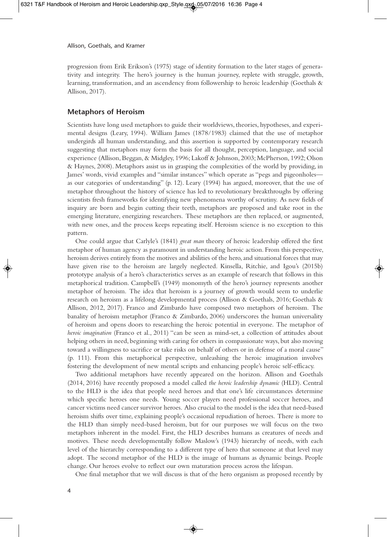progression from Erik Erikson's (1975) stage of identity formation to the later stages of generativity and integrity. The hero's journey is the human journey, replete with struggle, growth, learning, transformation, and an ascendency from followership to heroic leadership (Goethals & Allison, 2017).

#### **Metaphors of Heroism**

Scientists have long used metaphors to guide their worldviews, theories, hypotheses, and experimental designs (Leary, 1994). William James (1878/1983) claimed that the use of metaphor undergirds all human understanding, and this assertion is supported by contemporary research suggesting that metaphors may form the basis for all thought, perception, language, and social experience (Allison, Beggan, & Midgley, 1996; Lakoff & Johnson, 2003; McPherson, 1992; Olson & Haynes, 2008). Metaphors assist us in grasping the complexities of the world by providing, in James' words, vivid examples and "similar instances" which operate as "pegs and pigeonholes as our categories of understanding" (p. 12). Leary (1994) has argued, moreover, that the use of metaphor throughout the history of science has led to revolutionary breakthroughs by offering scientists fresh frameworks for identifying new phenomena worthy of scrutiny. As new fields of inquiry are born and begin cutting their teeth, metaphors are proposed and take root in the emerging literature, energizing researchers. These metaphors are then replaced, or augmented, with new ones, and the process keeps repeating itself. Heroism science is no exception to this pattern.

One could argue that Carlyle's (1841) *great man* theory of heroic leadership offered the first metaphor of human agency as paramount in understanding heroic action. From this perspective, heroism derives entirely from the motives and abilities of the hero, and situational forces that may have given rise to the heroism are largely neglected. Kinsella, Ritchie, and Igou's (2015b) prototype analysis of a hero's characteristics serves as an example of research that follows in this metaphorical tradition. Campbell's (1949) monomyth of the hero's journey represents another metaphor of heroism. The idea that heroism is a journey of growth would seem to underlie research on heroism as a lifelong developmental process (Allison & Goethals, 2016; Goethals & Allison, 2012, 2017). Franco and Zimbardo have composed two metaphors of heroism. The banality of heroism metaphor (Franco & Zimbardo, 2006) underscores the human universality of heroism and opens doors to researching the heroic potential in everyone. The metaphor of *heroic imagination* (Franco et al., 2011) "can be seen as mind-set, a collection of attitudes about helping others in need, beginning with caring for others in compassionate ways, but also moving toward a willingness to sacrifice or take risks on behalf of others or in defense of a moral cause" (p. 111). From this metaphorical perspective, unleashing the heroic imagination involves fostering the development of new mental scripts and enhancing people's heroic self-efficacy.

Two additional metaphors have recently appeared on the horizon. Allison and Goethals (2014, 2016) have recently proposed a model called *the heroic leadership dynamic* (HLD). Central to the HLD is the idea that people need heroes and that one's life circumstances determine which specific heroes one needs. Young soccer players need professional soccer heroes, and cancer victims need cancer survivor heroes. Also crucial to the model is the idea that need-based heroism shifts over time, explaining people's occasional repudiation of heroes. There is more to the HLD than simply need-based heroism, but for our purposes we will focus on the two metaphors inherent in the model. First, the HLD describes humans as creatures of needs and motives. These needs developmentally follow Maslow's (1943) hierarchy of needs, with each level of the hierarchy corresponding to a different type of hero that someone at that level may adopt. The second metaphor of the HLD is the image of humans as dynamic beings. People change. Our heroes evolve to reflect our own maturation process across the lifespan.

One final metaphor that we will discuss is that of the hero organism as proposed recently by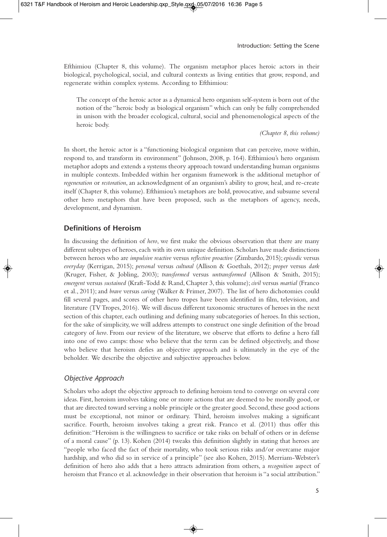Efthimiou (Chapter 8, this volume). The organism metaphor places heroic actors in their biological, psychological, social, and cultural contexts as living entities that grow, respond, and regenerate within complex systems. According to Efthimiou:

The concept of the heroic actor as a dynamical hero organism self-system is born out of the notion of the "heroic body as biological organism" which can only be fully comprehended in unison with the broader ecological, cultural, social and phenomenological aspects of the heroic body.

#### *(Chapter 8, this volume)*

In short, the heroic actor is a "functioning biological organism that can perceive, move within, respond to, and transform its environment" (Johnson, 2008, p. 164). Efthimiou's hero organism metaphor adopts and extends a systems theory approach toward understanding human organisms in multiple contexts. Imbedded within her organism framework is the additional metaphor of *regeneration* or *restoration*, an acknowledgment of an organism's ability to grow, heal, and re-create itself (Chapter 8, this volume). Efthimiou's metaphors are bold, provocative, and subsume several other hero metaphors that have been proposed, such as the metaphors of agency, needs, development, and dynamism.

## **Definitions of Heroism**

In discussing the definition of *hero*, we first make the obvious observation that there are many different subtypes of heroes, each with its own unique definition. Scholars have made distinctions between heroes who are *impulsive reactive* versus *reflective proactive* (Zimbardo, 2015);*episodic* versus *everyday* (Kerrigan, 2015); *personal* versus *cultural* (Allison & Goethals, 2012); *proper* versus *dark* (Kruger, Fisher, & Jobling, 2003); *transformed* versus *untransformed* (Allison & Smith, 2015); *emergent* versus *sustained* (Kraft-Todd & Rand, Chapter 3, this volume); *civil* versus *martial* (Franco et al., 2011); and *brave* versus *caring* (Walker & Frimer, 2007). The list of hero dichotomies could fill several pages, and scores of other hero tropes have been identified in film, television, and literature (TV Tropes, 2016). We will discuss different taxonomic structures of heroes in the next section of this chapter, each outlining and defining many subcategories of heroes. In this section, for the sake of simplicity, we will address attempts to construct one single definition of the broad category of *hero*. From our review of the literature, we observe that efforts to define a hero fall into one of two camps: those who believe that the term can be defined objectively, and those who believe that heroism defies an objective approach and is ultimately in the eye of the beholder. We describe the objective and subjective approaches below.

# *Objective Approach*

Scholars who adopt the objective approach to defining heroism tend to converge on several core ideas. First, heroism involves taking one or more actions that are deemed to be morally good, or that are directed toward serving a noble principle or the greater good. Second, these good actions must be exceptional, not minor or ordinary. Third, heroism involves making a significant sacrifice. Fourth, heroism involves taking a great risk. Franco et al. (2011) thus offer this definition:"Heroism is the willingness to sacrifice or take risks on behalf of others or in defense of a moral cause" (p. 13). Kohen (2014) tweaks this definition slightly in stating that heroes are "people who faced the fact of their mortality, who took serious risks and/or overcame major hardship, and who did so in service of a principle" (see also Kohen, 2015). Merriam-Webster's definition of hero also adds that a hero attracts admiration from others, a *recognition* aspect of heroism that Franco et al.acknowledge in their observation that heroism is "a social attribution."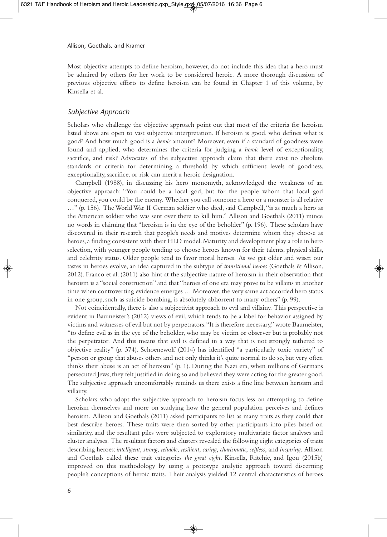Most objective attempts to define heroism, however, do not include this idea that a hero must be admired by others for her work to be considered heroic. A more thorough discussion of previous objective efforts to define heroism can be found in Chapter 1 of this volume, by Kinsella et al.

#### *Subjective Approach*

Scholars who challenge the objective approach point out that most of the criteria for heroism listed above are open to vast subjective interpretation. If heroism is good, who defines what is good? And how much good is a *heroic* amount? Moreover, even if a standard of goodness were found and applied, who determines the criteria for judging a *heroic* level of exceptionality, sacrifice, and risk? Advocates of the subjective approach claim that there exist no absolute standards or criteria for determining a threshold by which sufficient levels of goodness, exceptionality, sacrifice, or risk can merit a heroic designation.

Campbell (1988), in discussing his hero monomyth, acknowledged the weakness of an objective approach: "You could be a local god, but for the people whom that local god conquered, you could be the enemy. Whether you call someone a hero or a monster is all relative …" (p. 156). The World War II German soldier who died, said Campbell,"is as much a hero as the American soldier who was sent over there to kill him." Allison and Goethals (2011) mince no words in claiming that "heroism is in the eye of the beholder" (p. 196). These scholars have discovered in their research that people's needs and motives determine whom they choose as heroes, a finding consistent with their HLD model. Maturity and development play a role in hero selection, with younger people tending to choose heroes known for their talents, physical skills, and celebrity status. Older people tend to favor moral heroes. As we get older and wiser, our tastes in heroes evolve, an idea captured in the subtype of *transitional heroes* (Goethals & Allison, 2012). Franco et al. (2011) also hint at the subjective nature of heroism in their observation that heroism is a "social construction" and that "heroes of one era may prove to be villains in another time when controverting evidence emerges … Moreover, the very same act accorded hero status in one group, such as suicide bombing, is absolutely abhorrent to many others" (p. 99).

Not coincidentally, there is also a subjectivist approach to evil and villainy. This perspective is evident in Baumeister's (2012) views of evil, which tends to be a label for behavior assigned by victims and witnesses of evil but not by perpetrators."It is therefore necessary,"wrote Baumeister, "to define evil as in the eye of the beholder, who may be victim or observer but is probably not the perpetrator. And this means that evil is defined in a way that is not strongly tethered to objective reality" (p. 374). Schoenewolf (2014) has identified "a particularly toxic variety" of "person or group that abuses others and not only thinks it's quite normal to do so, but very often thinks their abuse is an act of heroism" (p. 1). During the Nazi era, when millions of Germans persecuted Jews,they felt justified in doing so and believed they were acting for the greater good. The subjective approach uncomfortably reminds us there exists a fine line between heroism and villainy.

Scholars who adopt the subjective approach to heroism focus less on attempting to define heroism themselves and more on studying how the general population perceives and defines heroism. Allison and Goethals (2011) asked participants to list as many traits as they could that best describe heroes. These traits were then sorted by other participants into piles based on similarity, and the resultant piles were subjected to exploratory multivariate factor analyses and cluster analyses. The resultant factors and clusters revealed the following eight categories of traits describing heroes: *intelligent*, *strong*, *reliable*, *resilient*, *caring*, *charismatic*, *selfless*, and *inspiring*. Allison and Goethals called these trait categories *the great eight*. Kinsella, Ritchie, and Igou (2015b) improved on this methodology by using a prototype analytic approach toward discerning people's conceptions of heroic traits. Their analysis yielded 12 central characteristics of heroes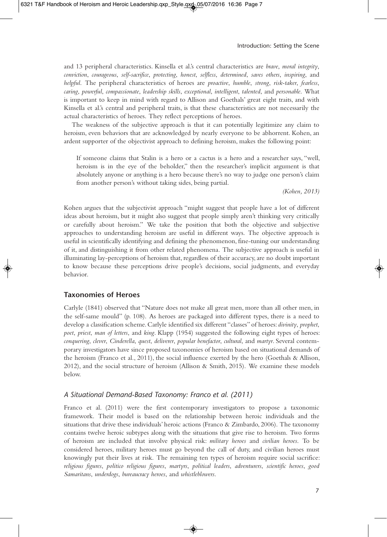and 13 peripheral characteristics. Kinsella et al.'s central characteristics are *brave*, *moral integrity*, *conviction*, *courageous*, *self-sacrifice*, *protecting*, *honest*, *selfless*, *determined*, *saves others*, *inspiring*, and *helpful*. The peripheral characteristics of heroes are *proactive*, *humble*, *strong*, *risk-taker*, *fearless*, *caring*, *powerful*, *compassionate*, *leadership skills*, *exceptional*, *intelligent*, *talented*, and *personable*. What is important to keep in mind with regard to Allison and Goethals' great eight traits, and with Kinsella et al.'s central and peripheral traits, is that these characteristics are not necessarily the actual characteristics of heroes. They reflect perceptions of heroes.

The weakness of the subjective approach is that it can potentially legitimize any claim to heroism, even behaviors that are acknowledged by nearly everyone to be abhorrent. Kohen, an ardent supporter of the objectivist approach to defining heroism, makes the following point:

If someone claims that Stalin is a hero or a cactus is a hero and a researcher says, "well, heroism is in the eye of the beholder," then the researcher's implicit argument is that absolutely anyone or anything is a hero because there's no way to judge one person's claim from another person's without taking sides, being partial.

*(Kohen, 2013)*

Kohen argues that the subjectivist approach "might suggest that people have a lot of different ideas about heroism, but it might also suggest that people simply aren't thinking very critically or carefully about heroism." We take the position that both the objective and subjective approaches to understanding heroism are useful in different ways. The objective approach is useful in scientifically identifying and defining the phenomenon, fine-tuning our understanding of it, and distinguishing it from other related phenomena. The subjective approach is useful in illuminating lay-perceptions of heroism that, regardless of their accuracy,are no doubt important to know because these perceptions drive people's decisions, social judgments, and everyday behavior.

#### **Taxonomies of Heroes**

Carlyle (1841) observed that "Nature does not make all great men, more than all other men, in the self-same mould" (p. 108). As heroes are packaged into different types, there is a need to develop a classification scheme. Carlyle identified six different "classes" of heroes: *divinity*, *prophet*, *poet*, *priest*, *man of letters*, and *king*. Klapp (1954) suggested the following eight types of heroes: *conquering*, *clever*, *Cinderella*, *quest*, *deliverer*, *popular benefactor*, *cultural*, and *martyr*. Several contemporary investigators have since proposed taxonomies of heroism based on situational demands of the heroism (Franco et al., 2011), the social influence exerted by the hero (Goethals & Allison, 2012), and the social structure of heroism (Allison & Smith, 2015). We examine these models below.

## *A Situational Demand-Based Taxonomy: Franco et al. (2011)*

Franco et al. (2011) were the first contemporary investigators to propose a taxonomic framework. Their model is based on the relationship between heroic individuals and the situations that drive these individuals' heroic actions (Franco & Zimbardo, 2006). The taxonomy contains twelve heroic subtypes along with the situations that give rise to heroism. Two forms of heroism are included that involve physical risk: *military heroes* and *civilian heroes*. To be considered heroes, military heroes must go beyond the call of duty, and civilian heroes must knowingly put their lives at risk. The remaining ten types of heroism require social sacrifice: *religious figures*, *politico religious figures*, *martyrs*, *political leaders*, *adventurers*, *scientific heroes*, *good Samaritans*, *underdogs*, *bureaucracy heroes*, and *whistleblowers*.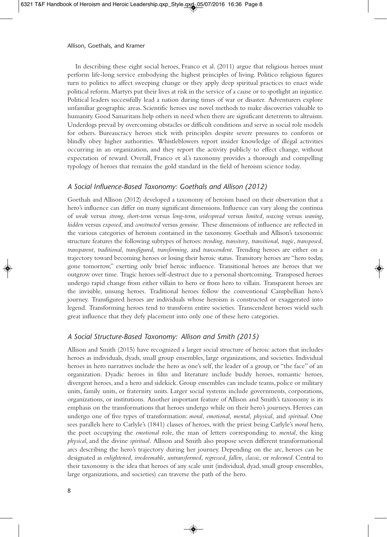In describing these eight social heroes, Franco et al. (2011) argue that religious heroes must perform life-long service embodying the highest principles of living. Politico religious figures turn to politics to affect sweeping change or they apply deep spiritual practices to enact wide political reform.Martyrs put their lives at risk in the service of a cause or to spotlight an injustice. Political leaders successfully lead a nation during times of war or disaster. Adventurers explore unfamiliar geographic areas. Scientific heroes use novel methods to make discoveries valuable to humanity. Good Samaritans help others in need when there are significant deterrents to altruism. Underdogs prevail by overcoming obstacles or difficult conditions and serve as social role models for others. Bureaucracy heroes stick with principles despite severe pressures to conform or blindly obey higher authorities. Whistleblowers report insider knowledge of illegal activities occurring in an organization, and they report the activity publicly to effect change, without expectation of reward. Overall, Franco et al.'s taxonomy provides a thorough and compelling typology of heroes that remains the gold standard in the field of heroism science today.

#### *A Social Influence-Based Taxonomy: Goethals and Allison (2012)*

Goethals and Allison (2012) developed a taxonomy of heroism based on their observation that a hero's influence can differ on many significant dimensions. Influence can vary along the continua of *weak* versus *strong*, *short-term* versus *long-term*, *widespread* versus *limited*, *waxing* versus *waning*, *hidden* versus *exposed*,and *constructed* versus *genuine*. These dimensions of influence are reflected in the various categories of heroism contained in the taxonomy. Goethals and Allison's taxonomic structure features the following subtypes of heroes: *trending*, *transitory*, *transitional*, *tragic*, *transposed*, *transparent*, *traditional*, *transfigured*, *transforming*, and *transcendent*. Trending heroes are either on a trajectory toward becoming heroes or losing their heroic status. Transitory heroes are "hero today, gone tomorrow," exerting only brief heroic influence. Transitional heroes are heroes that we outgrow over time. Tragic heroes self-destruct due to a personal shortcoming. Transposed heroes undergo rapid change from either villain to hero or from hero to villain. Transparent heroes are the invisible, unsung heroes. Traditional heroes follow the conventional Campbellian hero's journey. Transfigured heroes are individuals whose heroism is constructed or exaggerated into legend. Transforming heroes tend to transform entire societies. Transcendent heroes wield such great influence that they defy placement into only one of these hero categories.

## *A Social Structure-Based Taxonomy: Allison and Smith (2015)*

Allison and Smith (2015) have recognized a larger social structure of heroic actors that includes heroes as individuals, dyads, small group ensembles, large organizations, and societies. Individual heroes in hero narratives include the hero as one's self, the leader of a group, or "the face" of an organization. Dyadic heroes in film and literature include buddy heroes, romantic heroes, divergent heroes, and a hero and sidekick. Group ensembles can include teams, police or military units, family units, or fraternity units. Larger social systems include governments, corporations, organizations, or institutions. Another important feature of Allison and Smith's taxonomy is its emphasis on the transformations that heroes undergo while on their hero's journeys. Heroes can undergo one of five types of transformation: *moral*, *emotional*, *mental*, *physical*, and *spiritual*. One sees parallels here to Carlyle's (1841) classes of heroes, with the priest being Carlyle's *moral* hero, the poet occupying the *emotional* role, the man of letters corresponding to *mental*, the king *physical*, and the divine *spiritual*. Allison and Smith also propose seven different transformational arcs describing the hero's trajectory during her journey. Depending on the arc, heroes can be designated as *enlightened*, *irredeemable*, *untransformed*, *regressed*, *fallen*, *classic*, or *redeemed*. Central to their taxonomy is the idea that heroes of any scale unit (individual, dyad, small group ensembles, large organizations, and societies) can traverse the path of the hero.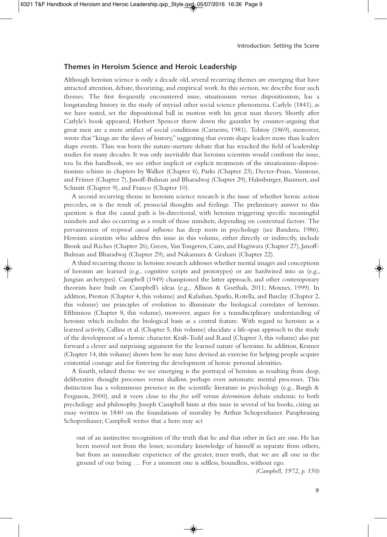# **Themes in Heroism Science and Heroic Leadership**

Although heroism science is only a decade old, several recurring themes are emerging that have attracted attention, debate, theorizing, and empirical work. In this section, we describe four such themes. The first frequently encountered issue, situationism versus dispositionism, has a longstanding history in the study of myriad other social science phenomena. Carlyle (1841), as we have noted, set the dispositional ball in motion with his great man theory. Shortly after Carlyle's book appeared, Herbert Spencer threw down the gauntlet by counter-arguing that great men are a mere artifact of social conditions (Carneiro, 1981). Tolstoy (1869), moreover, wrote that "kings are the slaves of history," suggesting that events shape leaders more than leaders shape events. Thus was born the nature-nurture debate that has wracked the field of leadership studies for many decades. It was only inevitable that heroism scientists would confront the issue, too. In this handbook, we see either implicit or explicit treatments of the situationism-dispositionism schism in chapters by Walker (Chapter 6), Parks (Chapter 23), Decter-Frain, Vanstone, and Frimer (Chapter 7), Janoff-Bulman and Bharadwaj (Chapter 29), Halmburger, Baumert, and Schmitt (Chapter 9), and Franco (Chapter 10).

A second recurring theme in heroism science research is the issue of whether heroic action precedes, or is the result of, prosocial thoughts and feelings. The preliminary answer to this question is that the causal path is bi-directional, with heroism triggering specific meaningful mindsets and also occurring as a result of those mindsets, depending on contextual factors. The pervasiveness of *reciprocal causal influence* has deep roots in psychology (see Bandura, 1986). Heroism scientists who address this issue in this volume, either directly or indirectly, include Bronk and Riches (Chapter 26), Green, Van Tongeren, Cairo, and Hagiwara (Chapter 27), Janoff-Bulman and Bharadwaj (Chapter 29), and Nakamura & Graham (Chapter 22).

A third recurring theme in heroism research addresses whether mental images and conceptions of heroism are learned (e.g., cognitive scripts and prototypes) or are hardwired into us (e.g., Jungian archetypes). Campbell (1949) championed the latter approach, and other contemporary theorists have built on Campbell's ideas (e.g., Allison & Goethals, 2011; Moxnes, 1999). In addition, Preston (Chapter 4, this volume) and Kafashan, Sparks, Rotella,and Barclay (Chapter 2, this volume) use principles of evolution to illuminate the biological correlates of heroism. Efthimiou (Chapter 8, this volume), moreover, argues for a transdisciplinary understanding of heroism which includes the biological basis as a central feature. With regard to heroism as a learned activity, Callina et al. (Chapter 5, this volume) elucidate a life-span approach to the study of the development of a heroic character.Kraft-Todd and Rand (Chapter 3, this volume) also put forward a clever and surprising argument for the learned nature of heroism. In addition, Kramer (Chapter 14, this volume) shows how he may have devised an exercise for helping people acquire existential courage and for fostering the development of heroic personal identities.

A fourth, related theme we see emerging is the portrayal of heroism as resulting from deep, deliberative thought processes versus shallow, perhaps even automatic mental processes. This distinction has a voluminous presence in the scientific literature in psychology (e.g., Bargh & Ferguson, 2000), and it veers close to the *free will* versus *determinism* debate endemic to both psychology and philosophy. Joseph Campbell hints at this issue in several of his books, citing an essay written in 1840 on the foundations of morality by Arthur Schopenhauer. Paraphrasing Schopenhauer, Campbell writes that a hero may act

out of an instinctive recognition of the truth that he and that other in fact are one. He has been moved not from the lesser, secondary knowledge of himself as separate from others, but from an immediate experience of the greater, truer truth, that we are all one in the ground of our being … For a moment one is selfless, boundless, without ego.

◈

*(Campbell, 1972, p. 150)*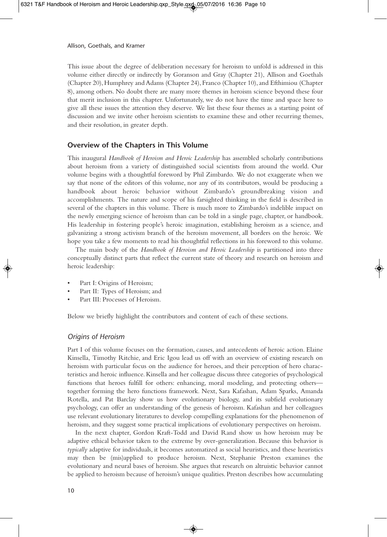This issue about the degree of deliberation necessary for heroism to unfold is addressed in this volume either directly or indirectly by Goranson and Gray (Chapter 21), Allison and Goethals (Chapter 20), Humphrey and Adams (Chapter 24), Franco (Chapter 10), and Efthimiou (Chapter 8), among others. No doubt there are many more themes in heroism science beyond these four that merit inclusion in this chapter. Unfortunately, we do not have the time and space here to give all these issues the attention they deserve. We list these four themes as a starting point of discussion and we invite other heroism scientists to examine these and other recurring themes, and their resolution, in greater depth.

#### **Overview of the Chapters in This Volume**

This inaugural *Handbook of Heroism and Heroic Leadership* has assembled scholarly contributions about heroism from a variety of distinguished social scientists from around the world. Our volume begins with a thoughtful foreword by Phil Zimbardo. We do not exaggerate when we say that none of the editors of this volume, nor any of its contributors, would be producing a handbook about heroic behavior without Zimbardo's groundbreaking vision and accomplishments. The nature and scope of his farsighted thinking in the field is described in several of the chapters in this volume. There is much more to Zimbardo's indelible impact on the newly emerging science of heroism than can be told in a single page, chapter, or handbook. His leadership in fostering people's heroic imagination, establishing heroism as a science, and galvanizing a strong activism branch of the heroism movement, all borders on the heroic. We hope you take a few moments to read his thoughtful reflections in his foreword to this volume.

The main body of the *Handbook of Heroism and Heroic Leadership* is partitioned into three conceptually distinct parts that reflect the current state of theory and research on heroism and heroic leadership:

- Part I: Origins of Heroism;
- Part II: Types of Heroism; and
- Part III: Processes of Heroism.

Below we briefly highlight the contributors and content of each of these sections.

## *Origins of Heroism*

Part I of this volume focuses on the formation, causes, and antecedents of heroic action. Elaine Kinsella, Timothy Ritchie, and Eric Igou lead us off with an overview of existing research on heroism with particular focus on the audience for heroes, and their perception of hero characteristics and heroic influence.Kinsella and her colleague discuss three categories of psychological functions that heroes fulfill for others: enhancing, moral modeling, and protecting others together forming the hero functions framework. Next, Sara Kafashan, Adam Sparks, Amanda Rotella, and Pat Barclay show us how evolutionary biology, and its subfield evolutionary psychology, can offer an understanding of the genesis of heroism. Kafashan and her colleagues use relevant evolutionary literatures to develop compelling explanations for the phenomenon of heroism, and they suggest some practical implications of evolutionary perspectives on heroism.

In the next chapter, Gordon Kraft-Todd and David Rand show us how heroism may be adaptive ethical behavior taken to the extreme by over-generalization. Because this behavior is *typically* adaptive for individuals, it becomes automatized as social heuristics, and these heuristics may then be (mis)applied to produce heroism. Next, Stephanie Preston examines the evolutionary and neural bases of heroism. She argues that research on altruistic behavior cannot be applied to heroism because of heroism's unique qualities. Preston describes how accumulating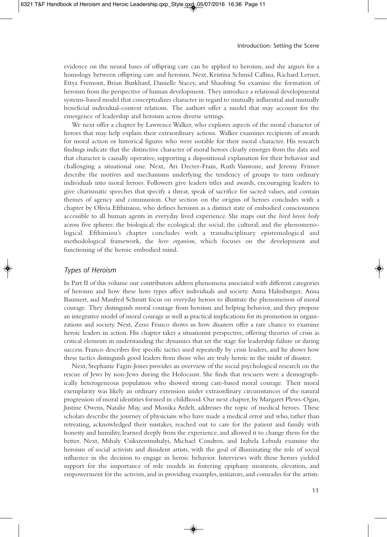evidence on the neural bases of offspring care can be applied to heroism, and she argues for a homology between offspring care and heroism. Next, Kristina Schmid Callina, Richard Lerner, Ettya Fremont, Brian Burkhard, Danielle Stacey, and Shaobing Su examine the formation of heroism from the perspective of human development. They introduce a relational developmental systems-based model that conceptualizes character in regard to mutually influential and mutually beneficial individual-context relations. The authors offer a model that may account for the emergence of leadership and heroism across diverse settings.

We next offer a chapter by Lawrence Walker, who explores aspects of the moral character of heroes that may help explain their extraordinary actions. Walker examines recipients of awards for moral action or historical figures who were notable for their moral character. His research findings indicate that the distinctive character of moral heroes clearly emerges from the data and that character is causally operative, supporting a dispositional explanation for their behavior and challenging a situational one. Next, Ari Decter-Frain, Ruth Vanstone, and Jeremy Frimer describe the motives and mechanisms underlying the tendency of groups to turn ordinary individuals into moral heroes. Followers give leaders titles and awards, encouraging leaders to give charismatic speeches that specify a threat, speak of sacrifice for sacred values, and contain themes of agency and communion. Our section on the origins of heroes concludes with a chapter by Olivia Efthimiou, who defines heroism as a distinct state of embodied consciousness accessible to all human agents in everyday lived experience. She maps out the *lived heroic body* across five spheres: the biological; the ecological; the social; the cultural; and the phenomenological. Efthimiou's chapter concludes with a transdisciplinary epistemological and methodological framework, the *hero organism*, which focuses on the development and functioning of the heroic embodied mind.

#### *Types of Heroism*

In Part II of this volume our contributors address phenomena associated with different categories of heroism and how these hero types affect individuals and society. Anna Halmburger, Anna Baumert, and Manfred Schmitt focus on everyday heroes to illustrate the phenomenon of moral courage. They distinguish moral courage from heroism and helping behavior, and they propose an integrative model of moral courage as well as practical implications for its promotion in organizations and society. Next, Zeno Franco shows us how disasters offer a rare chance to examine heroic leaders in action. His chapter takes a situationist perspective, offering theories of crisis as critical elements in understanding the dynamics that set the stage for leadership failure or daring success. Franco describes five specific tactics used repeatedly by crisis leaders, and he shows how these tactics distinguish good leaders from those who are truly heroic in the midst of disaster.

Next, Stephanie Fagin-Jones provides an overview of the social psychological research on the rescue of Jews by non-Jews during the Holocaust. She finds that rescuers were a demographically heterogeneous population who showed strong care-based moral courage. Their moral exemplarity was likely an ordinary extension under extraordinary circumstances of the natural progression of moral identities formed in childhood. Our next chapter, by Margaret Plews-Ogan, Justine Owens, Natalie May, and Monika Ardelt, addresses the topic of medical heroes. These scholars describe the journey of physicians who have made a medical error and who, rather than retreating, acknowledged their mistakes, reached out to care for the patient and family with honesty and humility, learned deeply from the experience,and allowed it to change them for the better. Next, Mihaly Csikszentmihalyi, Michael Condren, and Izabela Lebuda examine the heroism of social activists and dissident artists, with the goal of illuminating the role of social influence in the decision to engage in heroic behavior. Interviews with these heroes yielded support for the importance of role models in fostering epiphany moments, elevation, and empowerment for the activists,and in providing examples, initiators,and comrades for the artists.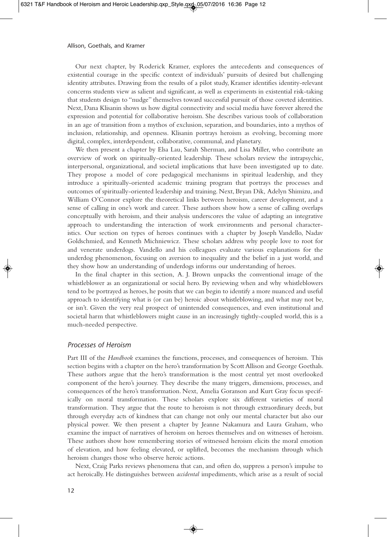Our next chapter, by Roderick Kramer, explores the antecedents and consequences of existential courage in the specific context of individuals' pursuits of desired but challenging identity attributes. Drawing from the results of a pilot study, Kramer identifies identity-relevant concerns students view as salient and significant, as well as experiments in existential risk-taking that students design to "nudge" themselves toward successful pursuit of those coveted identities. Next, Dana Klisanin shows us how digital connectivity and social media have forever altered the expression and potential for collaborative heroism. She describes various tools of collaboration in an age of transition from a mythos of exclusion, separation, and boundaries, into a mythos of inclusion, relationship, and openness. Klisanin portrays heroism as evolving, becoming more digital, complex, interdependent, collaborative, communal, and planetary.

We then present a chapter by Elsa Lau, Sarah Sherman, and Lisa Miller, who contribute an overview of work on spiritually-oriented leadership. These scholars review the intrapsychic, interpersonal, organizational, and societal implications that have been investigated up to date. They propose a model of core pedagogical mechanisms in spiritual leadership, and they introduce a spiritually-oriented academic training program that portrays the processes and outcomes of spiritually-oriented leadership and training. Next, Bryan Dik, Adelyn Shimizu, and William O'Connor explore the theoretical links between heroism, career development, and a sense of calling in one's work and career. These authors show how a sense of calling overlaps conceptually with heroism, and their analysis underscores the value of adapting an integrative approach to understanding the interaction of work environments and personal characteristics. Our section on types of heroes continues with a chapter by Joseph Vandello, Nadav Goldschmied, and Kenneth Michniewicz. These scholars address why people love to root for and venerate underdogs. Vandello and his colleagues evaluate various explanations for the underdog phenomenon, focusing on aversion to inequality and the belief in a just world, and they show how an understanding of underdogs informs our understanding of heroes.

In the final chapter in this section, A. J. Brown unpacks the conventional image of the whistleblower as an organizational or social hero. By reviewing when and why whistleblowers tend to be portrayed as heroes, he posits that we can begin to identify a more nuanced and useful approach to identifying what is (or can be) heroic about whistleblowing, and what may not be, or isn't. Given the very real prospect of unintended consequences, and even institutional and societal harm that whistleblowers might cause in an increasingly tightly-coupled world, this is a much-needed perspective.

#### *Processes of Heroism*

Part III of the *Handbook* examines the functions, processes, and consequences of heroism. This section begins with a chapter on the hero's transformation by ScottAllison and George Goethals. These authors argue that the hero's transformation is the most central yet most overlooked component of the hero's journey. They describe the many triggers, dimensions, processes, and consequences of the hero's transformation. Next, Amelia Goranson and Kurt Gray focus specifically on moral transformation*.* These scholars explore six different varieties of moral transformation. They argue that the route to heroism is not through extraordinary deeds, but through everyday acts of kindness that can change not only our mental character but also our physical power. We then present a chapter by Jeanne Nakamura and Laura Graham, who examine the impact of narratives of heroism on heroes themselves and on witnesses of heroism. These authors show how remembering stories of witnessed heroism elicits the moral emotion of elevation, and how feeling elevated, or uplifted, becomes the mechanism through which heroism changes those who observe heroic actions.

Next, Craig Parks reviews phenomena that can, and often do, suppress a person's impulse to act heroically. He distinguishes between *accidental* impediments, which arise as a result of social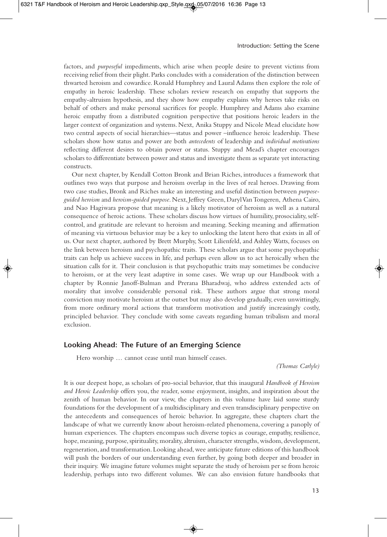factors, and *purposeful* impediments, which arise when people desire to prevent victims from receiving relief from their plight. Parks concludes with a consideration of the distinction between thwarted heroism and cowardice. Ronald Humphrey and Laural Adams then explore the role of empathy in heroic leadership. These scholars review research on empathy that supports the empathy-altruism hypothesis, and they show how empathy explains why heroes take risks on behalf of others and make personal sacrifices for people. Humphrey and Adams also examine heroic empathy from a distributed cognition perspective that positions heroic leaders in the larger context of organization and systems. Next, Anika Stuppy and Nicole Mead elucidate how two central aspects of social hierarchies—status and power –influence heroic leadership. These scholars show how status and power are both *antecedents* of leadership and *individual motivations* reflecting different desires to obtain power or status. Stuppy and Mead's chapter encourages scholars to differentiate between power and status and investigate them as separate yet interacting constructs.

Our next chapter, by Kendall Cotton Bronk and Brian Riches, introduces a framework that outlines two ways that purpose and heroism overlap in the lives of real heroes. Drawing from two case studies, Bronk and Riches make an interesting and useful distinction between *purposeguided heroism* and *heroism-guided purpose*. Next,Jeffrey Green,DarylVanTongeren, Athena Cairo, and Nao Hagiwara propose that meaning is a likely motivator of heroism as well as a natural consequence of heroic actions. These scholars discuss how virtues of humility, prosociality, selfcontrol, and gratitude are relevant to heroism and meaning. Seeking meaning and affirmation of meaning via virtuous behavior may be a key to unlocking the latent hero that exists in all of us. Our next chapter, authored by Brett Murphy, Scott Lilienfeld, and Ashley Watts, focuses on the link between heroism and psychopathic traits. These scholars argue that some psychopathic traits can help us achieve success in life, and perhaps even allow us to act heroically when the situation calls for it. Their conclusion is that psychopathic traits may sometimes be conducive to heroism, or at the very least adaptive in some cases. We wrap up our Handbook with a chapter by Ronnie Janoff-Bulman and Prerana Bharadwaj, who address extended acts of morality that involve considerable personal risk. These authors argue that strong moral conviction may motivate heroism at the outset but may also develop gradually, even unwittingly, from more ordinary moral actions that transform motivation and justify increasingly costly, principled behavior. They conclude with some caveats regarding human tribalism and moral exclusion.

#### **Looking Ahead: The Future of an Emerging Science**

Hero worship … cannot cease until man himself ceases.

*(Thomas Carlyle)*

It is our deepest hope, as scholars of pro-social behavior, that this inaugural *Handbook of Heroism and Heroic Leadership* offers you, the reader, some enjoyment, insights, and inspiration about the zenith of human behavior. In our view, the chapters in this volume have laid some sturdy foundations for the development of a multidisciplinary and even transdisciplinary perspective on the antecedents and consequences of heroic behavior. In aggregate, these chapters chart the landscape of what we currently know about heroism-related phenomena, covering a panoply of human experiences. The chapters encompass such diverse topics as courage, empathy, resilience, hope, meaning, purpose, spirituality, morality, altruism, character strengths, wisdom, development, regeneration,and transformation.Looking ahead,wee anticipate future editions of this handbook will push the borders of our understanding even further, by going both deeper and broader in their inquiry. We imagine future volumes might separate the study of heroism per se from heroic leadership, perhaps into two different volumes. We can also envision future handbooks that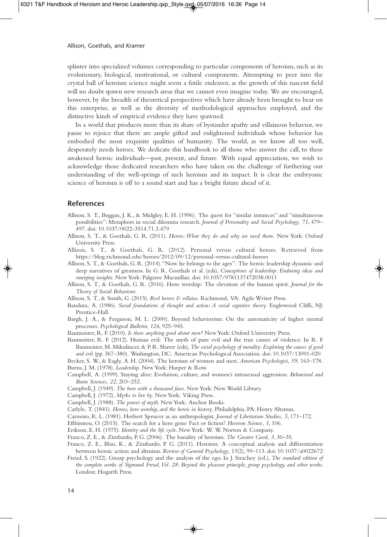splinter into specialized volumes corresponding to particular components of heroism, such as its evolutionary, biological, motivational, or cultural components. Attempting to peer into the crystal ball of heroism science might seem a futile endeavor, as the growth of this nascent field will no doubt spawn new research areas that we cannot even imagine today. We are encouraged, however, by the breadth of theoretical perspectives which have already been brought to bear on this enterprise, as well as the diversity of methodological approaches employed, and the distinctive kinds of empirical evidence they have spawned.

In a world that produces more than its share of bystander apathy and villainous behavior, we pause to rejoice that there are ample gifted and enlightened individuals whose behavior has embodied the most exquisite qualities of humanity. The world, as we know all too well, desperately needs heroes. We dedicate this handbook to all those who answer the call, to these awakened heroic individuals—past, present, and future. With equal appreciation, we wish to acknowledge those dedicated researchers who have taken on the challenge of furthering our understanding of the well-springs of such heroism and its impact. It is clear the embryonic science of heroism is off to a sound start and has a bright future ahead of it.

#### **References**

Allison, S. T., Beggan, J. K., & Midgley, E. H. (1996). The quest for "similar instances" and "simultaneous possibilities": Metaphors in social dilemma research. *Journal of Personality and Social Psychology*, *71*, 479– 497. doi: 10.1037/0022-3514.71.3.479

Allison, S. T., & Goethals, G. R. (2011). *Heroes:What they do and why we need them.* New York: Oxford University Press.

Allison, S. T., & Goethals, G. R. (2012). Personal versus cultural heroes. Retrieved from https://blog.richmond.edu/heroes/2012/09/12/personal-versus-cultural-heroes

Allison, S. T., & Goethals, G. R. (2014)."Now he belongs to the ages": The heroic leadership dynamic and deep narratives of greatness. In G. R. Goethals et al. (eds), *Conceptions of leadership: Enduring ideas and emerging insights*. NewYork: Palgrave Macmillan. doi: 10.1057/9781137472038.0011

Allison, S. T., & Goethals, G. R. (2016). Hero worship: The elevation of the human spirit. *Journal for the Theory of Social Behaviour*.

Allison, S. T., & Smith, G. (2015). *Reel heroes & villains*. Richmond, VA: Agile Writer Press.

- Bandura, A. (1986). *Social foundations of thought and action: A social cognitive theory*. Englewood Cliffs, NJ: Prentice-Hall.
- Bargh, J. A., & Ferguson, M. L. (2000). Beyond behaviorism: On the automaticity of higher mental processes. *Psychological Bulletin*, *126*, 925–945.

Baumeister, R. F. (2010). *Is there anything good about men?* NewYork: Oxford University Press.

Baumeister, R. F. (2012). Human evil: The myth of pure evil and the true causes of violence. In R. F. Baumeister, M. Mikulincer, & P. R. Shaver (eds),*The social psychology of morality: Exploring the causes of good and evil* (pp. 367–380). Washington, DC: American Psychological Association. doi: 10.1037/13091-020

Becker, S. W., & Eagly, A. H. (2004). The heroism of women and men. *American Psychologist*, *59*, 163–178. Burns, J. M. (1978). *Leadership*. NewYork: Harper & Row.

Campbell, A. (1999). Staying alive: Evolution, culture, and women's intrasexual aggression. *Behavioral and Brain Sciences*, *22*, 203–252.

Campbell, J. (1949). *The hero with a thousand faces*. NewYork: New World Library.

Campbell, J. (1972). *Myths to live by*. NewYork: Viking Press.

Campbell, J. (1988). *The power of myth*. NewYork: Anchor Books.

Carlyle, T. (1841). *Heroes, hero worship, and the heroic in history*. Philadelphia, PA: Henry Altemus.

Carneiro, R. L. (1981). Herbert Spencer as an anthropologist. *Journal of Libertarian Studies*, *5*, 171–172.

- Efthimiou, O. (2015). The search for a hero gene: Fact or fiction? *Heroism Science*, *1*, 106.
- Erikson, E. H. (1975). *Identity and the life cycle*. NewYork: W. W. Norton & Company.

Franco, Z. E., & Zimbardo, P. G. (2006). The banality of heroism. *The Greater Good*, *3*, 30–35.

Franco, Z. E., Blau, K., & Zimbardo, P. G. (2011). Heroism: A conceptual analysis and differentiation between heroic action and altruism. *Review of General Psychology*, *15*(2), 99–113. doi: 10.1037/a0022672

Freud, S. (1922). Group psychology and the analysis of the ego. In J. Strachey (ed.), *The standard edition of the complete works of Sigmund Freud,Vol. 28: Beyond the pleasure principle, group psychology, and other works*. London: Hogarth Press.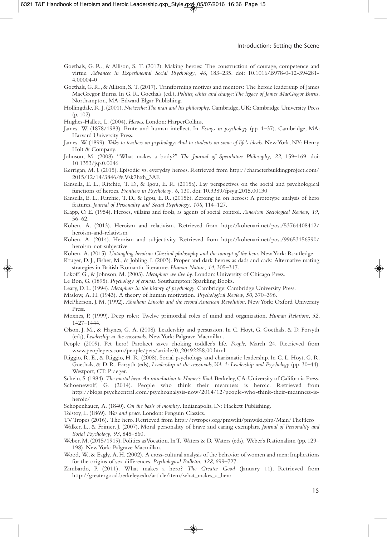Goethals, G. R., & Allison, S. T. (2012). Making heroes: The construction of courage, competence and virtue. *Advances in Experimental Social Psychology*, *46*, 183–235. doi: 10.1016/B978-0-12-394281- 4.00004-0

Goethals, G. R., & Allison, S. T. (2017). Transforming motives and mentors: The heroic leadership of James MacGregor Burns. In G. R. Goethals (ed.), *Politics, ethics and change:The legacy of James MacGregor Burns*. Northampton, MA: Edward Elgar Publishing.

Hollingdale, R. J. (2001). *Nietzsche:The man and his philosophy*. Cambridge, UK: Cambridge University Press (p. 102).

Hughes-Hallett, L. (2004). *Heroes.* London: HarperCollins.

James, W. (1878/1983). Brute and human intellect. In *Essays in psychology* (pp. 1–37). Cambridge, MA: Harvard University Press.

James, W. (1899). *Talks to teachers on psychology:And to students on some of life's ideals*. NewYork, NY: Henry Holt & Company.

Johnson, M. (2008). "What makes a body?" *The Journal of Speculative Philosophy*, *22*, 159–169. doi: 10.1353/jsp.0.0046

Kerrigan, M. J. (2015). Episodic vs. everyday heroes. Retrieved from http://characterbuildingproject.com/ 2015/12/14/3846/#.Vsk7hxh\_3AE

Kinsella, E. L., Ritchie, T. D., & Igou, E. R. (2015a). Lay perspectives on the social and psychological functions of heroes. *Frontiers in Psychology*, *6*, 130. doi: 10.3389/fpsyg.2015.00130

Kinsella, E. L., Ritchie, T. D., & Igou, E. R. (2015b). Zeroing in on heroes: A prototype analysis of hero features. *Journal of Personality and Social Psychology*, *108*, 114–127.

Klapp, O. E. (1954). Heroes, villains and fools, as agents of social control. *American Sociological Review*, *19*, 56–62.

Kohen, A. (2013). Heroism and relativism. Retrieved from http://kohenari.net/post/53764408412/ heroism-and-relativism

Kohen, A. (2014). Heroism and subjectivity. Retrieved from http://kohenari.net/post/99653156590/ heroism-not-subjective

Kohen, A. (2015). *Untangling heroism: Classical philosophy and the concept of the hero*. NewYork: Routledge.

Kruger, D. J., Fisher, M., & Jobling, I. (2003). Proper and dark heroes as dads and cads: Alternative mating strategies in British Romantic literature. *Human Nature*, *14*, 305–317.

Lakoff, G., & Johnson, M. (2003). *Metaphors we live by*. London: University of Chicago Press.

Le Bon, G. (1895). *Psychology of crowds*. Southampton: Sparkling Books.

Leary, D. L. (1994). *Metaphors in the history of psychology*. Cambridge: Cambridge University Press.

Maslow, A. H. (1943). A theory of human motivation. *Psychological Review*, *50*, 370–396.

McPherson, J. M. (1992). *Abraham Lincoln and the second American Revolution*. NewYork: Oxford University Press.

Moxnes, P. (1999). Deep roles: Twelve primordial roles of mind and organization. *Human Relations*, *52*, 1427–1444.

Olson, J. M., & Haynes, G. A. (2008). Leadership and persuasion. In C. Hoyt, G. Goethals, & D. Forsyth (eds), *Leadership at the crossroads*. NewYork: Palgrave Macmillan.

People (2009). Pet hero! Parokeet saves choking toddler's life. *People*, March 24. Retrieved from www.peoplepets.com/people/pets/article/0,,20492258,00.html

Riggio, R. E., & Riggio, H. R. (2008). Social psychology and charismatic leadership. In C. L. Hoyt, G. R. Goethals, & D. R. Forsyth (eds), *Leadership at the crossroads,Vol. 1: Leadership and Psychology* (pp. 30–44). Westport, CT: Praeger.

Schein, S.(1984).*The mortal hero:An introduction to Homer's Iliad*.Berkeley,CA:University of California Press.

Schoenewolf, G. (2014). People who think their meanness is heroic. Retrieved from http://blogs.psychcentral.com/psychoanalysis-now/2014/12/people-who-think-their-meanness-isheroic/

Schopenhauer, A. (1840). *On the basis of morality*. Indianapolis, IN: Hackett Publishing.

Tolstoy, L. (1869). *War and peace*. London: Penguin Classics.

TV Tropes (2016). The hero. Retrieved from http://tvtropes.org/pmwiki/pmwiki.php/Main/TheHero

Walker, L., & Frimer, J. (2007). Moral personality of brave and caring exemplars. *Journal of Personality and Social Psychology*, *93*, 845–860.

Weber, M. (2015/1919). Politics asVocation. InT. Waters & D. Waters (eds), Weber's Rationalism (pp. 129– 198). NewYork: Palgrave Macmillan.

Wood, W., & Eagly, A.H. (2002). A cross-cultural analysis of the behavior of women and men: Implications for the origins of sex differences. *Psychological Bulletin*, *128*, 699–727.

Zimbardo, P. (2011). What makes a hero? *The Greater Good* (January 11). Retrieved from http://greatergood.berkeley.edu/article/item/what\_makes\_a\_hero